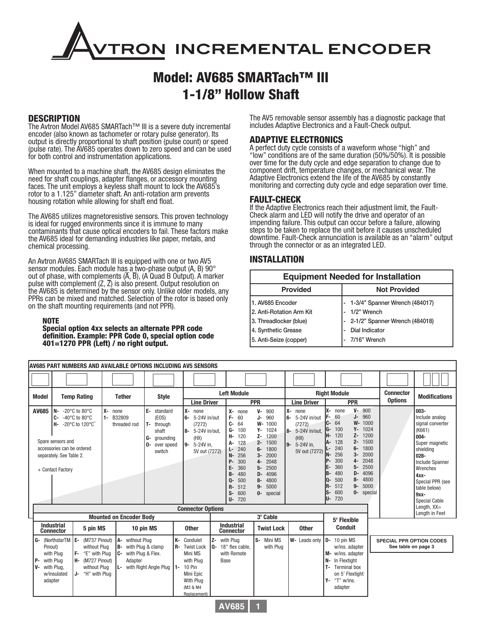# **RON INCREMENTAL ENCODER**

# Model: AV685 SMARTach™ III 1-1/8" Hollow Shaft

## **DESCRIPTION**

The Avtron Model AV685 SMARTach™ III is a severe duty incremental encoder (also known as tachometer or rotary pulse generator). Its output is directly proportional to shaft position (pulse count) or speed (pulse rate). The AV685 operates down to zero speed and can be used for both control and instrumentation applications.

When mounted to a machine shaft, the AV685 design eliminates the need for shaft couplings, adapter flanges, or accessory mounting faces. The unit employs a keyless shaft mount to lock the AV685's rotor to a 1.125" diameter shaft. An anti-rotation arm prevents housing rotation while allowing for shaft end float.

The AV685 utilizes magnetoresistive sensors. This proven technology is ideal for rugged environments since it is immune to many contaminants that cause optical encoders to fail. These factors make the AV685 ideal for demanding industries like paper, metals, and chemical processing.

An Avtron AV685 SMARTach III is equipped with one or two AV5 sensor modules. Each module has a two-phase output (A, B) 90° out of phase, with complements  $(\overline{A}, \overline{B})$ ,  $(A$  Quad B Output). A marker pulse with complement (Z, Z) is also present. Output resolution on the AV685 is determined by the sensor only. Unlike older models, any PPRs can be mixed and matched. Selection of the rotor is based only on the shaft mounting requirements (and not PPR).

#### NOTE

Special option 4xx selects an alternate PPR code definition. Example: PPR Code 0, special option code 401=1270 PPR (Left) / no right output.

The AV5 removable sensor assembly has a diagnostic package that includes Adaptive Electronics and a Fault-Check output.

## ADAPTIVE ELECTRONICS

A perfect duty cycle consists of a waveform whose "high" and "low" conditions are of the same duration (50%/50%). It is possible over time for the duty cycle and edge separation to change due to component drift, temperature changes, or mechanical wear. The Adaptive Electronics extend the life of the AV685 by constantly monitoring and correcting duty cycle and edge separation over time.

## FAULT-CHECK

If the Adaptive Electronics reach their adjustment limit, the Fault-Check alarm and LED will notify the drive and operator of an impending failure. This output can occur before a failure, allowing steps to be taken to replace the unit before it causes unscheduled downtime. Fault-Check annunciation is available as an "alarm" output through the connector or as an integrated LED.

## INSTALLATION

| <b>Equipment Needed for Installation</b> |                                  |  |  |  |  |  |  |  |
|------------------------------------------|----------------------------------|--|--|--|--|--|--|--|
| <b>Provided</b>                          | <b>Not Provided</b>              |  |  |  |  |  |  |  |
| 1. AV685 Encoder                         | 1-3/4" Spanner Wrench (484017)   |  |  |  |  |  |  |  |
| 2. Anti-Rotation Arm Kit                 | 1/2" Wrench                      |  |  |  |  |  |  |  |
| 3. Threadlocker (blue)                   | - 2-1/2" Spanner Wrench (484018) |  |  |  |  |  |  |  |
| 4. Synthetic Grease                      | Dial Indicator                   |  |  |  |  |  |  |  |
| 5. Anti-Seize (copper)                   | 7/16" Wrench                     |  |  |  |  |  |  |  |

| iav685 part numbers and available options including av5 sensors |                                                                                                                    |                                                                                                                                 |                                                  |                                                                                                               |                                                                                  |                                                                                                                         |              |                                                                                                                                                                                                              |                                                                                                                                                                                                     |                                                                                                                    |                                              |                                                                                                                                                                                                                                                                                                                                       |                                                        |                                                                                                                                                                                                                              |
|-----------------------------------------------------------------|--------------------------------------------------------------------------------------------------------------------|---------------------------------------------------------------------------------------------------------------------------------|--------------------------------------------------|---------------------------------------------------------------------------------------------------------------|----------------------------------------------------------------------------------|-------------------------------------------------------------------------------------------------------------------------|--------------|--------------------------------------------------------------------------------------------------------------------------------------------------------------------------------------------------------------|-----------------------------------------------------------------------------------------------------------------------------------------------------------------------------------------------------|--------------------------------------------------------------------------------------------------------------------|----------------------------------------------|---------------------------------------------------------------------------------------------------------------------------------------------------------------------------------------------------------------------------------------------------------------------------------------------------------------------------------------|--------------------------------------------------------|------------------------------------------------------------------------------------------------------------------------------------------------------------------------------------------------------------------------------|
|                                                                 |                                                                                                                    |                                                                                                                                 |                                                  |                                                                                                               |                                                                                  |                                                                                                                         |              |                                                                                                                                                                                                              |                                                                                                                                                                                                     |                                                                                                                    |                                              |                                                                                                                                                                                                                                                                                                                                       |                                                        |                                                                                                                                                                                                                              |
| <b>Model</b>                                                    |                                                                                                                    | <b>Temp Rating</b>                                                                                                              | <b>Tether</b>                                    |                                                                                                               | <b>Style</b>                                                                     | <b>Line Driver</b>                                                                                                      |              | <b>Left Module</b><br><b>PPR</b>                                                                                                                                                                             |                                                                                                                                                                                                     | <b>Right Module</b><br><b>Line Driver</b>                                                                          |                                              | <b>PPR</b>                                                                                                                                                                                                                                                                                                                            | <b>Connector</b><br><b>Options</b>                     | <b>Modifications</b>                                                                                                                                                                                                         |
| AV685                                                           | N-<br>C-<br>н-<br>Spare sensors and<br>accessories can be ordered<br>separately. See Table 2.<br>+ Contact Factory | -20 $^{\circ}$ C to 80 $^{\circ}$ C<br>-40 $^{\circ}$ C to 80 $^{\circ}$ C<br>-20 $^{\circ}$ C to 120 $^{\circ}$ C <sup>+</sup> | $X -$<br>none<br>$1 -$<br>B32809<br>threaded rod | G-<br>l 0-                                                                                                    | E- standard<br>(EOS)<br>T- through<br>shaft<br>grounding<br>over speed<br>switch | lx-<br>none<br>5-24V in/out<br>$6-$<br>(7272)<br>8- 5-24V in/out.<br>(HX)<br>9- 5-24V in.<br>5V out (7272)              |              | Х-<br>none<br>F-<br>60<br>C-<br>64<br>G-<br>100<br>н-<br>120<br>128<br>А-<br>240<br>Ŀ.<br>256<br><b>N-</b><br>P-<br>300<br>360<br>E-<br>480<br>$B -$<br>500<br>Q-<br>512<br>$R-$<br>$S-$<br>600<br>$U - 720$ | $V -$<br>900<br>J-<br>960<br>W- 1000<br>$Y - 1024$<br>$Z - 1200$<br>2- 1500<br>1800<br>6-<br>2000<br>$3-$<br>2048<br>$4-$<br>2500<br>$5-$<br>4096<br>D-<br>4800<br>8-<br>5000<br>$9-$<br>0- special | Ιх-<br>none<br>5-24V in/out<br>6-<br>(7272)<br>5-24V in/out.<br>$8-$<br>(HX)<br>$9-$<br>5-24V in,<br>5V out (7272) | lx-<br>IC-<br>G-<br>IA-<br>IP.<br>IS-<br>IU- | $V -$<br>900<br>none<br>$J-$<br>960<br>60<br>$W -$<br>1000<br>64<br>γ.<br>1024<br>100<br>1200<br>120<br>$Z-$<br>128<br>1500<br>$2 -$<br>1800<br>240<br>$6-$<br>256<br>2000<br>$3-$<br>300<br>2048<br>$4-$<br>360<br>5-<br>2500<br>480<br>4096<br>$D -$<br>500<br>$8-$<br>4800<br>5000<br>$9-$<br>512<br>600<br>$0-$<br>special<br>720 |                                                        | $003 -$<br>Include analog<br>signal converter<br>(K661)<br>$004 -$<br>Super magnetic<br>shielding<br>$028 -$<br><b>Include Spanner</b><br>Wrenches<br>$4xx -$<br>Special PPR (see<br>table below)<br>$9xx-$<br>Special Cable |
|                                                                 |                                                                                                                    |                                                                                                                                 |                                                  |                                                                                                               |                                                                                  | <b>Connector Options</b>                                                                                                |              |                                                                                                                                                                                                              |                                                                                                                                                                                                     |                                                                                                                    |                                              |                                                                                                                                                                                                                                                                                                                                       |                                                        | Length, $XX =$<br>Lenath in Feet                                                                                                                                                                                             |
|                                                                 | <b>Mounted on Encoder Body</b><br><b>Industrial</b><br>5 pin MS<br>10 pin MS<br><b>Connector</b>                   |                                                                                                                                 | <b>Other</b>                                     | 3' Cable<br><b>Industrial</b><br><b>Connector</b>                                                             |                                                                                  | <b>Twist Lock</b>                                                                                                       | <b>Other</b> | 5' Flexible<br><b>Conduit</b>                                                                                                                                                                                |                                                                                                                                                                                                     |                                                                                                                    |                                              |                                                                                                                                                                                                                                                                                                                                       |                                                        |                                                                                                                                                                                                                              |
| G-<br>Pinout)<br>P-<br>$V -$<br>adapter                         | (NorthstarTM E-<br>with Plua<br>with Plug<br>with Plug,<br>w/insulated                                             | (M737 Pinout)<br>without Plua<br>IF-<br>"E" with Plug<br>H- (M727 Pinout)<br>without Plug<br>"H" with Plua<br>J-                |                                                  | A- without Plug<br><b>B-</b> with Plug & clamp<br>C- with Plug & Flex.<br>Adapter<br>L- with Right Angle Plug |                                                                                  | K- Condulet<br>R- Twist Lock<br>Mini MS<br>with Plua<br>1- 10 Pin<br>Mini Epic<br>With Plug<br>(M3 & M4<br>Replacement) | I Q-         | Z- with Plug<br>18" flex cable,<br>with Remote<br>Base                                                                                                                                                       | S- Mini MS<br>with Plua                                                                                                                                                                             | W- Leads only                                                                                                      | D-<br>M-<br><b>N-</b><br>γ.                  | 10 pin MS<br>w/ins. adapter<br>w/ins. adapter<br>In Flextight<br><b>Terminal box</b><br>on 5' Flextight<br>"T" w/ins.<br>adapter                                                                                                                                                                                                      | <b>SPECIAL PPR OPTION CODES</b><br>See table on page 3 |                                                                                                                                                                                                                              |

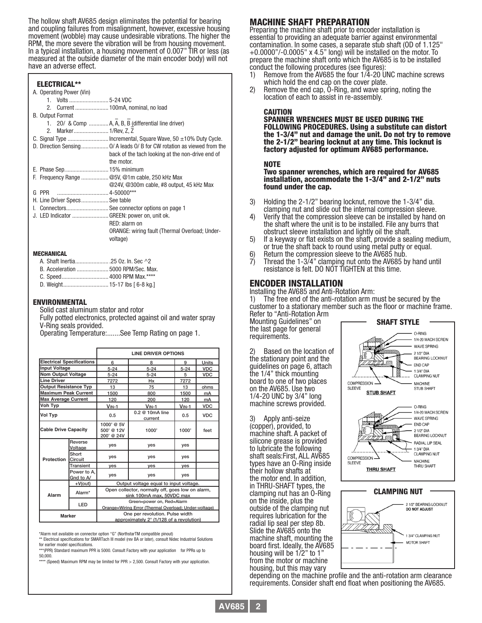The hollow shaft AV685 design eliminates the potential for bearing and coupling failures from misalignment, however, excessive housing movement (wobble) may cause undesirable vibrations. The higher the RPM, the more severe the vibration will be from housing movement. In a typical installation, a housing movement of 0.007" TIR or less (as measured at the outside diameter of the main encoder body) will not have an adverse effect.

| <b>ELECTRICAL**</b>                         |                                                      |
|---------------------------------------------|------------------------------------------------------|
| A. Operating Power (Vin)                    |                                                      |
|                                             |                                                      |
|                                             |                                                      |
| <b>B. Output Format</b>                     |                                                      |
|                                             | 1. 20/ & Comp  A, A, B, B (differential line driver) |
|                                             |                                                      |
|                                             |                                                      |
|                                             |                                                      |
|                                             | back of the tach looking at the non-drive end of     |
|                                             | the motor.                                           |
|                                             |                                                      |
|                                             | F. Frequency Range @5V, @1m cable, 250 kHz Max       |
|                                             | @24V, @300m cable, #8 output, 45 kHz Max             |
| G PPR                                       |                                                      |
| H. Line Driver Specs See table              |                                                      |
|                                             | I. Connectors See connector options on page 1        |
| J. LED Indicator  GREEN: power on, unit ok. |                                                      |
|                                             | RED: alarm on                                        |
|                                             | ORANGE: wiring fault (Thermal Overload; Under-       |
|                                             | voltage)                                             |
|                                             |                                                      |

#### MECHANICAL

| A. Shaft Inertia25 Oz. In. Sec ^2   |  |
|-------------------------------------|--|
| B. Acceleration  5000 RPM/Sec. Max. |  |
|                                     |  |
| D. Weight 15-17 lbs [ 6-8 kg.]      |  |

#### ENVIRONMENTAL

Solid cast aluminum stator and rotor Fully potted electronics, protected against oil and water spray V-Ring seals provided.

Operating Temperature:.......See Temp Rating on page 1.

|                                  |                          | <b>LINE DRIVER OPTIONS</b>                                                  |                                                                                    |          |              |  |  |  |  |
|----------------------------------|--------------------------|-----------------------------------------------------------------------------|------------------------------------------------------------------------------------|----------|--------------|--|--|--|--|
| <b>Electrical Specifications</b> |                          | 6                                                                           | 8                                                                                  | 9        | <b>Units</b> |  |  |  |  |
| <b>Input Voltage</b>             |                          | $5 - 24$                                                                    | $5 - 24$                                                                           | $5 - 24$ | <b>VDC</b>   |  |  |  |  |
| <b>Nom Output Voltage</b>        |                          | $5 - 24$                                                                    | $5 - 24$                                                                           | 5        | <b>VDC</b>   |  |  |  |  |
| <b>Line Driver</b>               |                          | 7272                                                                        | Hx                                                                                 | 7272     |              |  |  |  |  |
| <b>Output Resistance Typ</b>     |                          | 13                                                                          | 75                                                                                 | 13       | ohms         |  |  |  |  |
| <b>Maximum Peak Current</b>      |                          | 1500                                                                        | 800                                                                                | 1500     | mA           |  |  |  |  |
| <b>Max Average Current</b>       |                          | 120                                                                         | 200                                                                                | 120      | mA           |  |  |  |  |
| Voh Typ                          |                          | $V_{IN-1}$                                                                  | $VIN-1$                                                                            | $VIN-1$  | <b>VDC</b>   |  |  |  |  |
| Vol Typ                          |                          | 0.5                                                                         | $0.2 \ @$ 10mA line<br>current                                                     | 0.5      | <b>VDC</b>   |  |  |  |  |
| <b>Cable Drive Capacity</b>      |                          | 1000' @ 5V<br>500' @ 12V<br>200' @ 24V                                      | 1000'                                                                              | 1000'    | feet         |  |  |  |  |
|                                  | Reverse<br>Voltage       | yes                                                                         | yes                                                                                | yes      |              |  |  |  |  |
| Protection                       | Short<br><b>ICircuit</b> | yes                                                                         | yes                                                                                | yes      |              |  |  |  |  |
|                                  | Transient                | yes                                                                         | yes                                                                                | yes      |              |  |  |  |  |
|                                  | Power to A.<br>Gnd to A/ | yes                                                                         | yes                                                                                | yes      |              |  |  |  |  |
|                                  | $+V(out)$                | Output voltage equal to input voltage.                                      |                                                                                    |          |              |  |  |  |  |
| Alarm                            | Alarm*                   |                                                                             | Open collector, normally off, goes low on alarm,<br>sink 100mA max, 50VDC max      |          |              |  |  |  |  |
|                                  | <b>LED</b>               |                                                                             | Green=power on, Red=Alarm<br>Orange=Wiring Error (Thermal Overload; Under-voltage) |          |              |  |  |  |  |
| <b>Marker</b>                    |                          | One per revolution. Pulse width<br>approximately 2° (1/128 of a revolution) |                                                                                    |          |              |  |  |  |  |

\*Alarm not available on connector option "G" (NorthstarTM compatible pinout)

\*\* Electrical specifications for SMARTach III model (rev BA or later), consult Nidec Industrial Solutions for earlier model specifications.

\*\*\*(PPR) Standard maximum PPR is 5000. Consult Factory with your application for PPRs up to 50,000.

(Speed) Maximum RPM may be limited for PPR  $> 2,500$ . Consult Factory with your application.

## MACHINE SHAFT PREPARATION

Preparing the machine shaft prior to encoder installation is essential to providing an adequate barrier against environmental contamination. In some cases, a separate stub shaft (OD of 1.125"  $+0.0000$ "/-0.0005" x 4.5" long) will be installed on the motor. To prepare the machine shaft onto which the AV685 is to be installed conduct the following procedures (see figures):

- 1) Remove from the AV685 the four  $1/\overline{4}$ -20 UNC machine screws which hold the end cap on the cover plate.<br>2) Remove the end cap, O-Ring, and wave spring, noting the
- Remove the end cap, O-Ring, and wave spring, noting the location of each to assist in re-assembly.

CAUTION<br>Spanner Wrenches Must be used during the FOLLOWING PROCEDURES. Using a substitute can distort the 1-3/4" nut and damage the unit. Do not try to remove the 2-1/2" bearing locknut at any time. This locknut is factory adjusted for optimum AV685 performance.

NOTE<br>Two spanner wrenches, which are required for AV685 installation, accommodate the 1-3/4" and 2-1/2" nuts found under the cap.

- 3) Holding the 2-1/2" bearing locknut, remove the 1-3/4" dia.<br>clamping nut and slide out the internal compression sleeve.<br>4) Verify that the compression sleeve can be installed by hand
- Verify that the compression sleeve can be installed by hand on the shaft where the unit is to be installed. File any burrs that obstruct sleeve installation and lightly oil the shaft.
- 5) If a keyway or flat exists on the shaft, provide a sealing medium, or true the shaft back to round using metal putty or equal.
- 6) Return the compression sleeve to the AV685 hub.
- 7) Thread the 1-3/4" clamping nut onto the AV685 by hand until resistance is felt. DO NOT TIGHTEN at this time.

#### ENCODER INSTALLATION

Installing the AV685 and Anti-Rotation Arm:

1) The free end of the anti-rotation arm must be secured by the customer to a stationary member such as the floor or machine frame.

Refer to "Anti-Rotation Arm Mounting Guidelines" on the last page for general requirements.

Based on the location of the stationary point and the guidelines on page 6, attach the 1/4" thick mounting board to one of two places on the AV685. Use two 1/4-20 UNC by 3/4" long machine screws provided.

3) Apply anti-seize (copper), provided, to machine shaft. A packet of silicone grease is provided to lubricate the following shaft seals:First, ALL AV685 types have an O-Ring inside their hollow shafts at the motor end. In addition, in THRU-SHAFT types, the clamping nut has an O-Ring on the inside, plus the outside of the clamping nut requires lubrication for the radial lip seal per step 8b. Slide the AV685 onto the machine shaft, mounting the board first. Ideally, the AV685 housing will be 1/2" to 1" from the motor or machine housing, but this may vary





depending on the machine profile and the anti-rotation arm clearance requirements. Consider shaft end float when positioning the AV685.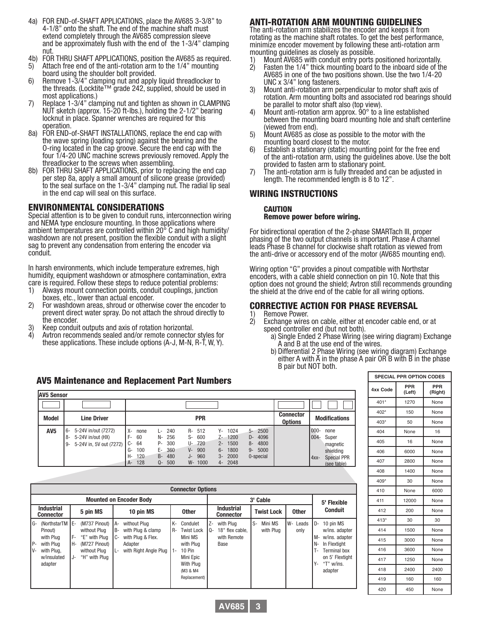- 4a) FOR END-of-SHAFT APPLICATIONS, place the AV685 3-3/8" to 4-1/8" onto the shaft. The end of the machine shaft must and be approximately flush with the end of the  $1-3/4$ " clamping nut.
- 4b) FOR THRU SHAFT APPLICATIONS, position the AV685 as required.
- 5) Attach free end of the anti-rotation arm to the 1/4" mounting<br>board using the shoulder bolt provided.<br>6) Remove 1-3/4" clamping nut and apply liquid threadlocker to
- Remove 1-3/4" clamping nut and apply liquid threadlocker to the threads. (Locktite™ grade 242, supplied, should be used in most applications.)
- 7) Replace 1-3/4" clamping nut and tighten as shown in CLAMPING NUT sketch (approx. 15-20 ft-lbs.), holding the 2-1/2" bearing locknut in place. Spanner wrenches are required for this operation.
- 8a) FOR END-of-SHAFT INSTALLATIONS, replace the end cap with the wave spring (loading spring) against the bearing and the O-ring located in the cap groove. Secure the end cap with the four 1/4-20 UNC machine screws previously removed. Apply the threadlocker to the screws when assembling.
- 8b) FOR THRU SHAFT APPLICATIONS, prior to replacing the end cap per step 8a, apply a small amount of silicone grease (provided) to the seal surface on the 1-3/4" clamping nut. The radial lip seal in the end cap will seal on this surface.

#### ENVIRONMENTAL CONSIDERATIONS

Special attention is to be given to conduit runs, interconnection wiring and NEMA type enclosure mounting. In those applications where ambient temperatures are controlled within 20° C and high humidity/ washdown are not present, position the flexible conduit with a slight sag to prevent any condensation from entering the encoder via conduit.

In harsh environments, which include temperature extremes, high humidity, equipment washdown or atmosphere contamination, extra care is required. Follow these steps to reduce potential problems:

- 1) Always mount connection points, conduit couplings, junction boxes, etc., lower than actual encoder.
- 2) For washdown areas, shroud or otherwise cover the encoder to prevent direct water spray. Do not attach the shroud directly to the encoder.
- 3) Keep conduit outputs and axis of rotation horizontal.
- 4) Avtron recommends sealed and/or remote connector styles for these applications. These include options (A-J, M-N, R-T, W, Y).

#### AV5 Maintenance and Replacement Part Numbers

| <b>AV5 Sensor</b> |                                                                                          |                                                                                                                                                                                                                                                                                                                                                                                                 |                                    |                                                                                                             |  |  |  |  |  |
|-------------------|------------------------------------------------------------------------------------------|-------------------------------------------------------------------------------------------------------------------------------------------------------------------------------------------------------------------------------------------------------------------------------------------------------------------------------------------------------------------------------------------------|------------------------------------|-------------------------------------------------------------------------------------------------------------|--|--|--|--|--|
|                   |                                                                                          |                                                                                                                                                                                                                                                                                                                                                                                                 |                                    |                                                                                                             |  |  |  |  |  |
| <b>Model</b>      | <b>Line Driver</b>                                                                       | <b>PPR</b>                                                                                                                                                                                                                                                                                                                                                                                      | <b>Connector</b><br><b>Options</b> | <b>Modifications</b>                                                                                        |  |  |  |  |  |
| AV <sub>5</sub>   | 5-24V in/out (7272)<br>l 6-<br>5-24V in/out (HX)<br>8-<br>5-24V in, 5V out (7272)<br>∣9- | 1024<br>R- 512<br>$5 - 2500$<br>х-<br>240<br>Υ-<br>Ŀ.<br>none<br>256<br>$Z - 1200$<br>F-<br>60<br>600<br>4096<br>S-<br>N-<br>D-<br>300<br>1500<br>4800<br>64<br>720<br>C-<br>U-<br>Р-<br>$2 -$<br>8-<br>360<br>900<br>1800<br>5000<br>G-<br>100<br>E-<br>V-<br>$6-$<br>$9-$<br>120<br>480<br>960<br>2000<br>0-special<br>H-<br>$3-$<br>B-<br>J-<br>128<br>500<br>W- 1000<br>4- 2048<br>Q-<br>A- |                                    | $000 -$<br>none<br>$004 -$<br>Super<br>magnetic<br>shielding<br><b>Special PPR</b><br>$4xx-$<br>(see table) |  |  |  |  |  |

| <b>Connector Options</b>                                                                                           |                  |                                                                                                  |                               |                                                                                            |                   |                                                                                                                          |            |                                                     |    |                      |                  |                                 |                                                                                                                                  |  |
|--------------------------------------------------------------------------------------------------------------------|------------------|--------------------------------------------------------------------------------------------------|-------------------------------|--------------------------------------------------------------------------------------------|-------------------|--------------------------------------------------------------------------------------------------------------------------|------------|-----------------------------------------------------|----|----------------------|------------------|---------------------------------|----------------------------------------------------------------------------------------------------------------------------------|--|
| <b>Mounted on Encoder Body</b>                                                                                     |                  |                                                                                                  |                               |                                                                                            |                   |                                                                                                                          |            | 3' Cable                                            |    |                      |                  |                                 | 5' Flexible                                                                                                                      |  |
| <b>Industrial</b><br><b>Connector</b>                                                                              |                  | 5 pin MS                                                                                         |                               | 10 pin MS                                                                                  |                   | <b>Other</b>                                                                                                             |            | <b>Industrial</b><br><b>Connector</b>               |    | <b>Twist Lock</b>    | <b>Other</b>     |                                 | <b>Conduit</b>                                                                                                                   |  |
| (NorthstarTM E-<br>G-<br>Pinout)<br>with Plug<br>IP-<br>with Plua<br>$V -$<br>with Plug.<br>w/insulated<br>adapter | F-<br>l H-<br>J- | (M737 Pinout)<br>without Plug<br>"E" with Plua<br>(M727 Pinout)<br>without Plua<br>"H" with Plug | A-<br><b>B-</b><br>$C-$<br>Ŀ. | without Plua<br>with Plug & clamp<br>with Plug & Flex.<br>Adapter<br>with Right Angle Plug | K-<br>R-<br>$1 -$ | Condulet<br><b>Twist Lock</b><br>Mini MS<br>with Plua<br>$10 P$ in<br>Mini Epic<br>With Plua<br>(M3 & M4<br>Replacement) | Z-<br>l 0- | with Plua<br>18" flex cable,<br>with Remote<br>Base | S- | Mini MS<br>with Plua | W- Leads<br>only | I D-<br>l M-<br>IN-<br>T-<br>Υ- | 10 pin MS<br>w/ins. adapter<br>w/ins. adapter<br>In Flextight<br><b>Terminal box</b><br>on 5' Flextight<br>"T" w/ins.<br>adapter |  |

#### ANTI-ROTATION ARM MOUNTING GUIDELINES

The anti-rotation arm stabilizes the encoder and keeps it from rotating as the machine shaft rotates. To get the best performance, minimize encoder movement by following these anti-rotation arm mounting guidelines as closely as possible.

- 1) Mount AV685 with conduit entry ports positioned horizontally.
- Fasten the 1/4" thick mounting board to the inboard side of the AV685 in one of the two positions shown. Use the two 1/4-20 UNC x 3/4" long fasteners.
- 3) Mount anti-rotation arm perpendicular to motor shaft axis of rotation. Arm mounting bolts and associated rod bearings should
- be parallel to motor shaft also (top view).<br>Mount anti-rotation arm approx.  $90^{\circ}$  to a line established 4) Mount anti-rotation arm approx.  $90^{\circ}$  to a line established between the mounting board mounting hole and shaft centerline (viewed from end).
- 5) Mount AV685 as close as possible to the motor with the mounting board closest to the motor.<br>6) Establish a stationary (static) mounting point for the free
- 6) Establish a stationary (static) mounting point for the free end of the anti-rotation arm, using the guidelines above. Use the bolt provided to fasten arm to stationary point.
- 7) The anti-rotation arm is fully threaded and can be adjusted in length. The recommended length is 8 to 12".

#### WIRING INSTRUCTIONS

#### CAUTION Remove power before wiring.

For bidirectional operation of the 2-phase SMARTach III, proper phasing of the two output channels is important. Phase A channel leads Phase B channel for clockwise shaft rotation as viewed from the anti-drive or accessory end of the motor (AV685 mounting end).

Wiring option "G" provides a pinout compatible with Northstar encoders, with a cable shield connection on pin 10. Note that this option does not ground the shield; Avtron still recommends grounding the shield at the drive end of the cable for all wiring options.

# **CORRECTIVE ACTION FOR PHASE REVERSAL**<br>1) Remove Power

- 
- 1) Remove Power.<br>2) Exchange wires on cable, either at encoder cable end, or at
	-
	- speed controller end (but not both).<br>
	a) Single Ended 2 Phase Wiring (see wiring diagram) Exchange<br>
	A and B at the use end of the wires.<br>
	b) Differential 2 Phase Wiring (see wiring diagram) Exchange<br>
	either A with  $\overline{A}$

**SPECIAL PPR OPTION CODES**

**(Left)**

401\* 1270 None 402\* 150 None 403\* 50 None 404 | None | 16 405 16 None 406 6000 None 407 2800 None 408 1400 None 409\* 30 None 410 | None | 6000 411 12000 None 412 200 None 413\* 30 30 414 1500 None 415 3000 None 416 3600 None 417 1250 None 418 2400 2400 419 160 160 420 450 None

**PPR (Right)**

**4xx Code PPR** 

| <b>AV685</b> |  |
|--------------|--|
|--------------|--|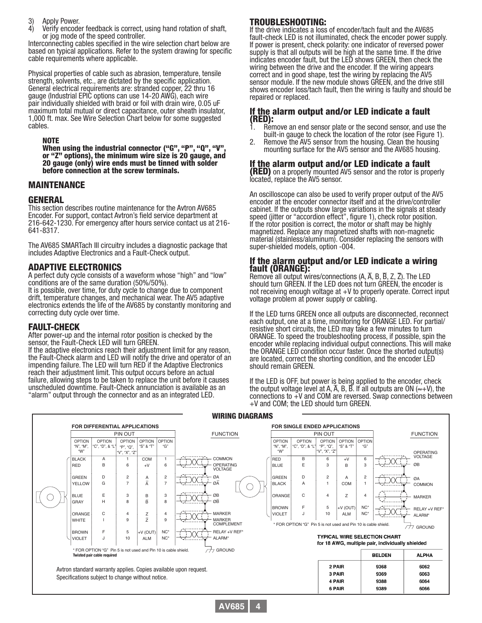- 3) Apply Power.
- 4) Verify encoder feedback is correct, using hand rotation of shaft, or jog mode of the speed controller.

Interconnecting cables specified in the wire selection chart below are based on typical applications. Refer to the system drawing for specific cable requirements where applicable.

Physical properties of cable such as abrasion, temperature, tensile strength, solvents, etc., are dictated by the specific application. General electrical requirements are: stranded copper, 22 thru 16 gauge (Industrial EPIC options can use 14-20 AWG), each wire pair individually shielded with braid or foil with drain wire, 0.05 uF maximum total mutual or direct capacitance, outer sheath insulator, 1,000 ft. max. See Wire Selection Chart below for some suggested cables.

#### NOTE

When using the industrial connector ("G", "P", "Q", "V", or "Z" options), the minimum wire size is 20 gauge, and 20 gauge (only) wire ends must be tinned with solder before connection at the screw terminals.

#### MAINTENANCE

#### GENERAL

This section describes routine maintenance for the Avtron AV685 Encoder. For support, contact Avtron's field service department at 216-642-1230. For emergency after hours service contact us at 216- 641-8317.

The AV685 SMARTach III circuitry includes a diagnostic package that includes Adaptive Electronics and a Fault-Check output.

#### ADAPTIVE ELECTRONICS

A perfect duty cycle consists of a waveform whose "high" and "low" conditions are of the same duration (50%/50%).

It is possible, over time, for duty cycle to change due to component drift, temperature changes, and mechanical wear. The AV5 adaptive electronics extends the life of the AV685 by constantly monitoring and correcting duty cycle over time.

#### FAULT-CHECK

After power-up and the internal rotor position is checked by the sensor, the Fault-Check LED will turn GREEN.

If the adaptive electronics reach their adjustment limit for any reason, the Fault-Check alarm and LED will notify the drive and operator of an impending failure. The LED will turn RED if the Adaptive Electronics reach their adjustment limit. This output occurs before an actual failure, allowing steps to be taken to replace the unit before it causes unscheduled downtime. Fault-Check annunciation is available as an "alarm" output through the connector and as an integrated LED.

## TROUBLESHOOTING:

If the drive indicates a loss of encoder/tach fault and the AV685 fault-check LED is not illuminated, check the encoder power supply. If power is present, check polarity: one indicator of reversed power supply is that all outputs will be high at the same time. If the drive indicates encoder fault, but the LED shows GREEN, then check the wiring between the drive and the encoder. If the wiring appears correct and in good shape, test the wiring by replacing the AV5 sensor module. If the new module shows GREEN, and the drive still shows encoder loss/tach fault, then the wiring is faulty and should be repaired or replaced.

#### If the alarm output and/or LED indicate a fault (RED):

- Remove an end sensor plate or the second sensor, and use the built-in gauge to check the location of the rotor (see Figure 1).
- 2. Remove the AV5 sensor from the housing. Clean the housing mounting surface for the AV5 sensor and the AV685 housing.

#### If the alarm output and/or LED indicate a fault

**(RED)** on a properly mounted AV5 sensor and the rotor is properly located, replace the AV5 sensor.

An oscilloscope can also be used to verify proper output of the AV5 encoder at the encoder connector itself and at the drive/controller cabinet. If the outputs show large variations in the signals at steady speed (jitter or "accordion effect", figure 1), check rotor position. If the rotor position is correct, the motor or shaft may be highly magnetized. Replace any magnetized shafts with non-magnetic material (stainless/aluminum). Consider replacing the sensors with super-shielded models, option -004.

#### If the alarm output and/or LED indicate a wiring fault (ORANGE):

Remove all output wires/connections  $(A, \overline{A}, B, \overline{B}, Z, \overline{Z})$ . The LED should turn GREEN. If the LED does not turn GREEN, the encoder is not receiving enough voltage at +V to properly operate. Correct input voltage problem at power supply or cabling.

If the LED turns GREEN once all outputs are disconnected, reconnect each output, one at a time, monitoring for ORANGE LED. For partial/ resistive short circuits, the LED may take a few minutes to turn ORANGE. To speed the troubleshooting process, if possible, spin the encoder while replacing individual output connections. This will make the ORANGE LED condition occur faster. Once the shorted output(s) are located, correct the shorting condition, and the encoder LED should remain GREEN.

If the LED is OFF, but power is being applied to the encoder, check the output voltage level at A,  $\overline{A}$ , B,  $\overline{B}$ . If all outputs are ON ( $\approx$ +V), the connections to  $+V$  and COM are reversed. Swap connections between +V and COM; the LED should turn GREEN.



**AV685 4**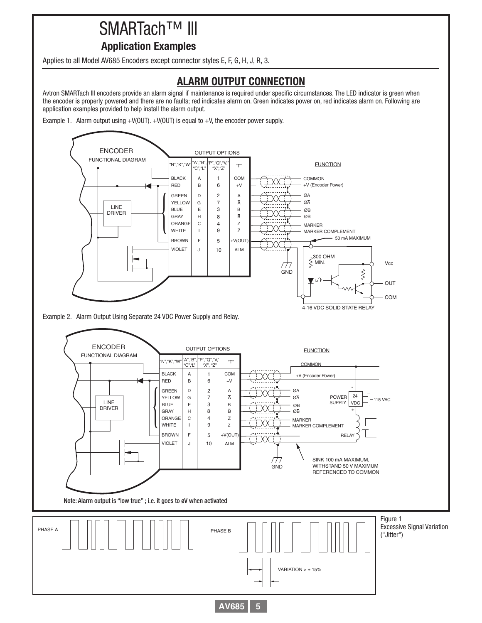# SMARTach™ III

## **Application Examples**

Applies to all Model AV685 Encoders except connector styles E, F, G, H, J, R, 3.

# **ALARM OUTPUT CONNECTION**

Avtron SMARTach III encoders provide an alarm signal if maintenance is required under specific circumstances. The LED indicator is green when the encoder is properly powered and there are no faults; red indicates alarm on. Green indicates power on, red indicates alarm on. Following are application examples provided to help install the alarm output.

Example 1. Alarm output using  $+V(OUT)$ .  $+V(OUT)$  is equal to  $+V$ , the encoder power supply.